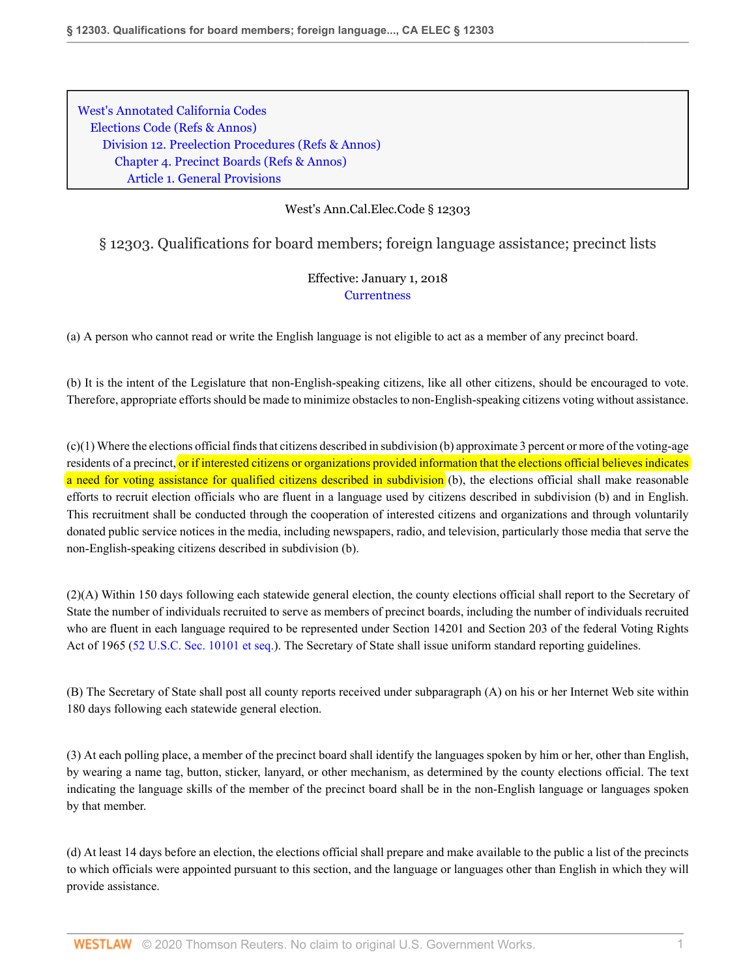[West's Annotated California Codes](http://www.westlaw.com/Browse/Home/StatutesCourtRules/CaliforniaStatutesCourtRules?transitionType=DocumentItem&contextData=(sc.Search)&rs=clbt1.0&vr=3.0) [Elections Code](http://www.westlaw.com/Browse/Home/StatutesCourtRules/CaliforniaStatutesCourtRules?guid=NDD3E5F3A3827417A83395715AE22F508&transitionType=DocumentItem&contextData=(sc.Search)&rs=clbt1.0&vr=3.0) [\(Refs & Annos\)](http://www.westlaw.com/Link/Document/FullText?findType=l&cite=lk(CAELD)+lk(CAELM)+lk(CAELD)+lk(CAELM)+lk(CAELD)+lk(CAELM)+lk(CAELD)+lk(CASTERR)&originatingDoc=N50305B40B86A11E7878CEBADA8D4909F&refType=CM&sourceCite=West%27s+Ann.Cal.Elec.Code+%c2%a7+12303&originationContext=document&vr=3.0&rs=cblt1.0&transitionType=DocumentItem&pubNum=1000206&contextData=(sc.Search)) [Division 12. Preelection Procedures](http://www.westlaw.com/Browse/Home/StatutesCourtRules/CaliforniaStatutesCourtRules?guid=N4FF5BD31996B4BBF96BB29D28553C72B&transitionType=DocumentItem&contextData=(sc.Search)&rs=clbt1.0&vr=3.0) [\(Refs & Annos\)](http://www.westlaw.com/Link/Document/FullText?findType=l&cite=lk(CAELD12R)&originatingDoc=N50305B40B86A11E7878CEBADA8D4909F&refType=CM&sourceCite=West%27s+Ann.Cal.Elec.Code+%c2%a7+12303&originationContext=document&vr=3.0&rs=cblt1.0&transitionType=DocumentItem&pubNum=1000206&contextData=(sc.Search)) [Chapter 4. Precinct Boards](http://www.westlaw.com/Browse/Home/StatutesCourtRules/CaliforniaStatutesCourtRules?guid=N0BB4871F2CC447A0982AFDF3032B57BC&transitionType=DocumentItem&contextData=(sc.Search)&rs=clbt1.0&vr=3.0) [\(Refs & Annos\)](http://www.westlaw.com/Link/Document/FullText?findType=l&cite=lk(CAELD12C4R)&originatingDoc=N50305B40B86A11E7878CEBADA8D4909F&refType=CM&sourceCite=West%27s+Ann.Cal.Elec.Code+%c2%a7+12303&originationContext=document&vr=3.0&rs=cblt1.0&transitionType=DocumentItem&pubNum=1000206&contextData=(sc.Search)) [Article 1. General Provisions](http://www.westlaw.com/Browse/Home/StatutesCourtRules/CaliforniaStatutesCourtRules?guid=N6E9A51F5CBA14ABBB36EE08B2240936C&transitionType=DocumentItem&contextData=(sc.Search)&rs=clbt1.0&vr=3.0)

## West's Ann.Cal.Elec.Code § 12303

## § 12303. Qualifications for board members; foreign language assistance; precinct lists

## Effective: January 1, 2018 **[Currentness](#page-1-0)**

(a) A person who cannot read or write the English language is not eligible to act as a member of any precinct board.

(b) It is the intent of the Legislature that non-English-speaking citizens, like all other citizens, should be encouraged to vote. Therefore, appropriate efforts should be made to minimize obstacles to non-English-speaking citizens voting without assistance.

 $(c)(1)$  Where the elections official finds that citizens described in subdivision (b) approximate 3 percent or more of the voting-age residents of a precinct, or if interested citizens or organizations provided information that the elections official believes indicates a need for voting assistance for qualified citizens described in subdivision (b), the elections official shall make reasonable efforts to recruit election officials who are fluent in a language used by citizens described in subdivision (b) and in English. This recruitment shall be conducted through the cooperation of interested citizens and organizations and through voluntarily donated public service notices in the media, including newspapers, radio, and television, particularly those media that serve the non-English-speaking citizens described in subdivision (b).

(2)(A) Within 150 days following each statewide general election, the county elections official shall report to the Secretary of State the number of individuals recruited to serve as members of precinct boards, including the number of individuals recruited who are fluent in each language required to be represented under Section 14201 and Section 203 of the federal Voting Rights Act of 1965 ([52 U.S.C. Sec. 10101 et seq.\)](http://www.westlaw.com/Link/Document/FullText?findType=L&pubNum=1000546&cite=52USCAS10101&originatingDoc=N50305B40B86A11E7878CEBADA8D4909F&refType=LQ&originationContext=document&vr=3.0&rs=cblt1.0&transitionType=DocumentItem&contextData=(sc.Search)). The Secretary of State shall issue uniform standard reporting guidelines.

(B) The Secretary of State shall post all county reports received under subparagraph (A) on his or her Internet Web site within 180 days following each statewide general election.

(3) At each polling place, a member of the precinct board shall identify the languages spoken by him or her, other than English, by wearing a name tag, button, sticker, lanyard, or other mechanism, as determined by the county elections official. The text indicating the language skills of the member of the precinct board shall be in the non-English language or languages spoken by that member.

(d) At least 14 days before an election, the elections official shall prepare and make available to the public a list of the precincts to which officials were appointed pursuant to this section, and the language or languages other than English in which they will provide assistance.